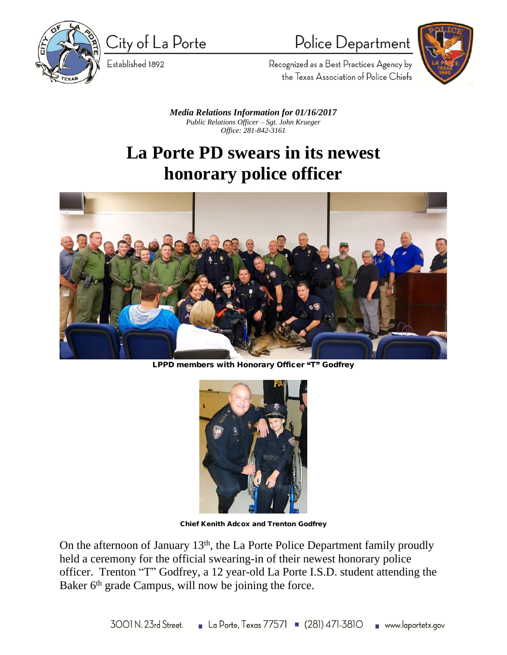

City of La Porte

Established 1892

## Police Department



Recognized as a Best Practices Agency by the Texas Association of Police Chiefs

*Media Relations Information for 01/16/2017 Public Relations Officer – Sgt. John Krueger Office: 281-842-3161*

## **La Porte PD swears in its newest honorary police officer**



**LPPD members with Honorary Officer** "**T**" **Godfrey**



**Chief Kenith Adcox and Trenton Godfrey**

On the afternoon of January 13<sup>th</sup>, the La Porte Police Department family proudly held a ceremony for the official swearing-in of their newest honorary police officer. Trenton "T" Godfrey, a 12 year-old La Porte I.S.D. student attending the Baker 6<sup>th</sup> grade Campus, will now be joining the force.